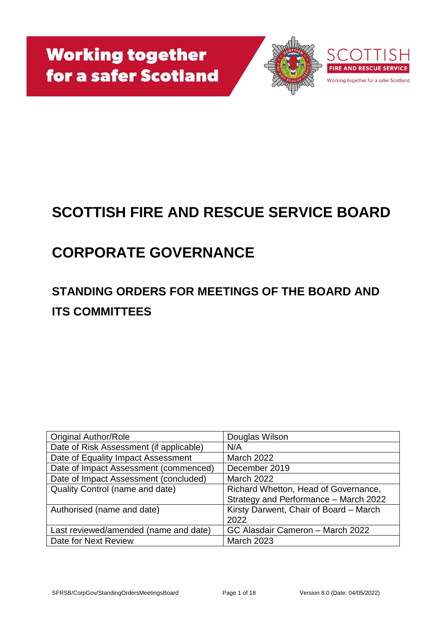

# **SCOTTISH FIRE AND RESCUE SERVICE BOARD**

# **CORPORATE GOVERNANCE**

## **STANDING ORDERS FOR MEETINGS OF THE BOARD AND ITS COMMITTEES**

| <b>Original Author/Role</b>             | Douglas Wilson                         |
|-----------------------------------------|----------------------------------------|
| Date of Risk Assessment (if applicable) | N/A                                    |
| Date of Equality Impact Assessment      | <b>March 2022</b>                      |
| Date of Impact Assessment (commenced)   | December 2019                          |
| Date of Impact Assessment (concluded)   | <b>March 2022</b>                      |
| <b>Quality Control (name and date)</b>  | Richard Whetton, Head of Governance,   |
|                                         | Strategy and Performance - March 2022  |
| Authorised (name and date)              | Kirsty Darwent, Chair of Board - March |
|                                         | 2022                                   |
| Last reviewed/amended (name and date)   | GC Alasdair Cameron - March 2022       |
| Date for Next Review                    | <b>March 2023</b>                      |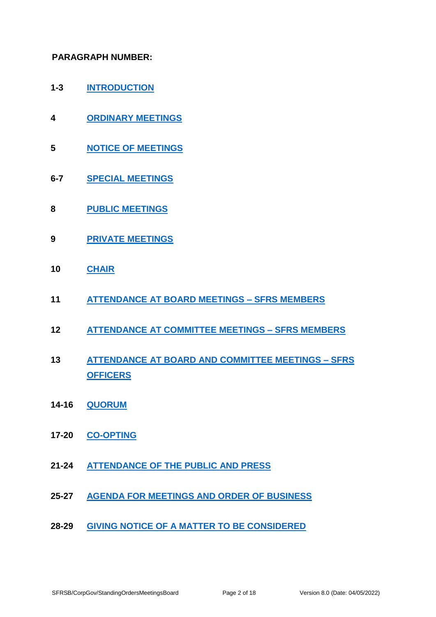#### **PARAGRAPH NUMBER:**

- **1-3 [INTRODUCTION](#page-3-0)**
- **4 [ORDINARY MEETINGS](#page-3-1)**
- **5 [NOTICE OF MEETINGS](#page-3-2)**
- **6-7 [SPECIAL MEETINGS](#page-4-0)**
- **8 [PUBLIC MEETINGS](#page-4-1)**
- **9 [PRIVATE MEETINGS](#page-4-2)**
- **10 [CHAIR](#page-5-0)**
- **11 [ATTENDANCE AT BOARD MEETINGS](#page-5-1) – SFRS MEMBERS**
- **12 [ATTENDANCE AT COMMITTEE MEETINGS –](#page-6-0) SFRS MEMBERS**
- **13 [ATTENDANCE AT BOARD AND COMMITTEE MEETINGS –](#page-6-1) SFRS [OFFICERS](#page-6-1)**
- **14-16 [QUORUM](#page-6-2)**
- **17-20 [CO-OPTING](#page-7-0)**
- **21-24 [ATTENDANCE OF THE PUBLIC AND PRESS](#page-8-0)**
- **25-27 [AGENDA FOR MEETINGS AND ORDER OF BUSINESS](#page-8-1)**
- **28-29 [GIVING NOTICE OF A MATTER TO BE CONSIDERED](#page-9-0)**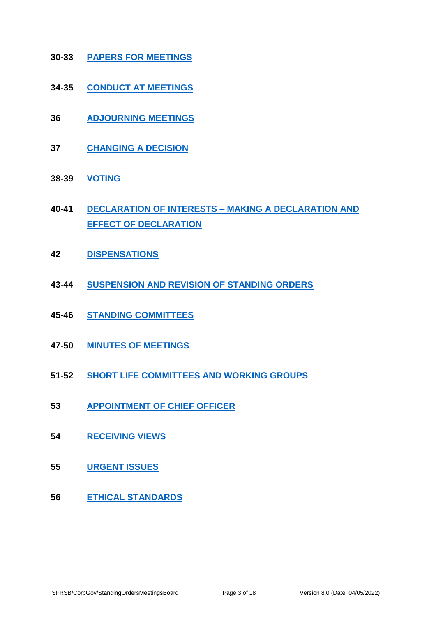- **30-33 [PAPERS FOR MEETINGS](#page-10-0)**
- **34-35 [CONDUCT AT MEETINGS](#page-11-0)**
- **36 [ADJOURNING MEETINGS](#page-11-1)**
- **37 [CHANGING A DECISION](#page-12-0)**
- **38-39 [VOTING](#page-12-1)**
- **40-41 [DECLARATION OF INTERESTS –](#page-13-0) MAKING A DECLARATION AND [EFFECT OF DECLARATION](#page-13-0)**
- **42 [DISPENSATIONS](#page-14-0)**
- **43-44 [SUSPENSION AND REVISION OF STANDING ORDERS](#page-14-1)**
- **45-46 [STANDING COMMITTEES](#page-15-0)**
- **47-50 [MINUTES OF MEETINGS](#page-15-1)**
- **51-52 [SHORT LIFE COMMITTEES AND WORKING GROUPS](#page-16-0)**
- **53 [APPOINTMENT OF CHIEF OFFICER](#page-16-1)**
- **54 [RECEIVING VIEWS](#page-16-2)**
- **55 [URGENT ISSUES](#page-16-3)**
- **56 [ETHICAL STANDARDS](#page-17-0)**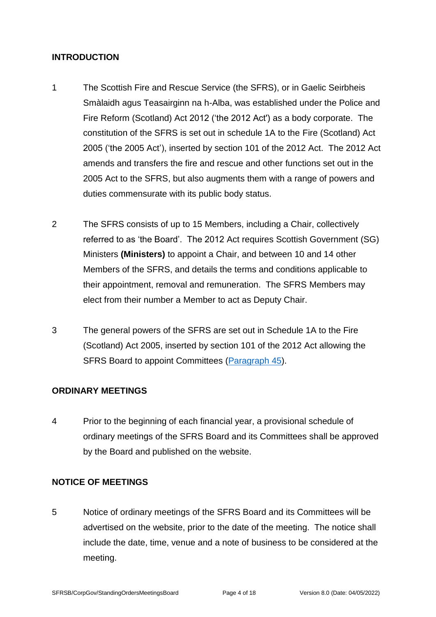#### <span id="page-3-0"></span>**INTRODUCTION**

- 1 The Scottish Fire and Rescue Service (the SFRS), or in Gaelic Seirbheis Smàlaidh agus Teasairginn na h-Alba, was established under the Police and Fire Reform (Scotland) Act 2012 ('the 2012 Act') as a body corporate. The constitution of the SFRS is set out in schedule 1A to the Fire (Scotland) Act 2005 ('the 2005 Act'), inserted by section 101 of the 2012 Act. The 2012 Act amends and transfers the fire and rescue and other functions set out in the 2005 Act to the SFRS, but also augments them with a range of powers and duties commensurate with its public body status.
- 2 The SFRS consists of up to 15 Members, including a Chair, collectively referred to as 'the Board'. The 2012 Act requires Scottish Government (SG) Ministers **(Ministers)** to appoint a Chair, and between 10 and 14 other Members of the SFRS, and details the terms and conditions applicable to their appointment, removal and remuneration. The SFRS Members may elect from their number a Member to act as Deputy Chair.
- 3 The general powers of the SFRS are set out in Schedule 1A to the Fire (Scotland) Act 2005, inserted by section 101 of the 2012 Act allowing the SFRS Board to appoint Committees [\(Paragraph 45\)](#page-15-2).

#### <span id="page-3-1"></span>**ORDINARY MEETINGS**

4 Prior to the beginning of each financial year, a provisional schedule of ordinary meetings of the SFRS Board and its Committees shall be approved by the Board and published on the website.

## <span id="page-3-2"></span>**NOTICE OF MEETINGS**

5 Notice of ordinary meetings of the SFRS Board and its Committees will be advertised on the website, prior to the date of the meeting. The notice shall include the date, time, venue and a note of business to be considered at the meeting.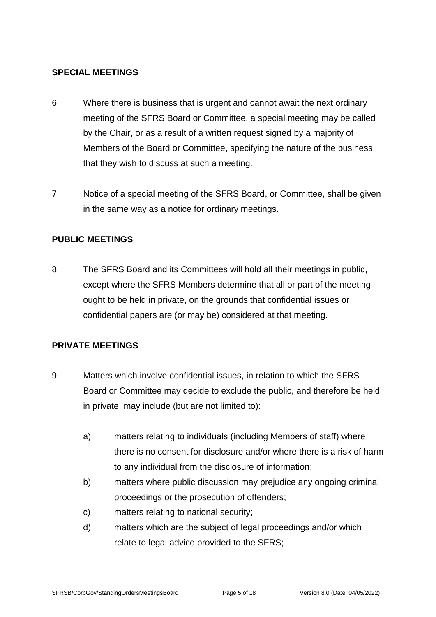#### <span id="page-4-0"></span>**SPECIAL MEETINGS**

- 6 Where there is business that is urgent and cannot await the next ordinary meeting of the SFRS Board or Committee, a special meeting may be called by the Chair, or as a result of a written request signed by a majority of Members of the Board or Committee, specifying the nature of the business that they wish to discuss at such a meeting.
- 7 Notice of a special meeting of the SFRS Board, or Committee, shall be given in the same way as a notice for ordinary meetings.

## <span id="page-4-1"></span>**PUBLIC MEETINGS**

8 The SFRS Board and its Committees will hold all their meetings in public, except where the SFRS Members determine that all or part of the meeting ought to be held in private, on the grounds that confidential issues or confidential papers are (or may be) considered at that meeting.

## <span id="page-4-2"></span>**PRIVATE MEETINGS**

- <span id="page-4-3"></span>9 Matters which involve confidential issues, in relation to which the SFRS Board or Committee may decide to exclude the public, and therefore be held in private, may include (but are not limited to):
	- a) matters relating to individuals (including Members of staff) where there is no consent for disclosure and/or where there is a risk of harm to any individual from the disclosure of information;
	- b) matters where public discussion may prejudice any ongoing criminal proceedings or the prosecution of offenders;
	- c) matters relating to national security;
	- d) matters which are the subject of legal proceedings and/or which relate to legal advice provided to the SFRS;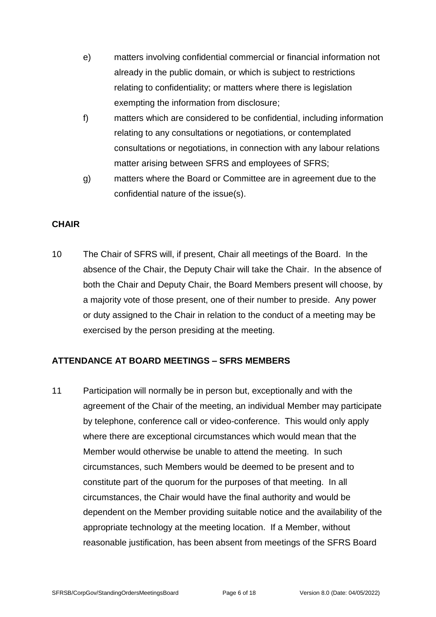- e) matters involving confidential commercial or financial information not already in the public domain, or which is subject to restrictions relating to confidentiality; or matters where there is legislation exempting the information from disclosure;
- f) matters which are considered to be confidential, including information relating to any consultations or negotiations, or contemplated consultations or negotiations, in connection with any labour relations matter arising between SFRS and employees of SFRS;
- g) matters where the Board or Committee are in agreement due to the confidential nature of the issue(s).

## <span id="page-5-0"></span>**CHAIR**

10 The Chair of SFRS will, if present, Chair all meetings of the Board. In the absence of the Chair, the Deputy Chair will take the Chair. In the absence of both the Chair and Deputy Chair, the Board Members present will choose, by a majority vote of those present, one of their number to preside. Any power or duty assigned to the Chair in relation to the conduct of a meeting may be exercised by the person presiding at the meeting.

## <span id="page-5-1"></span>**ATTENDANCE AT BOARD MEETINGS – SFRS MEMBERS**

11 Participation will normally be in person but, exceptionally and with the agreement of the Chair of the meeting, an individual Member may participate by telephone, conference call or video-conference. This would only apply where there are exceptional circumstances which would mean that the Member would otherwise be unable to attend the meeting. In such circumstances, such Members would be deemed to be present and to constitute part of the quorum for the purposes of that meeting. In all circumstances, the Chair would have the final authority and would be dependent on the Member providing suitable notice and the availability of the appropriate technology at the meeting location. If a Member, without reasonable justification, has been absent from meetings of the SFRS Board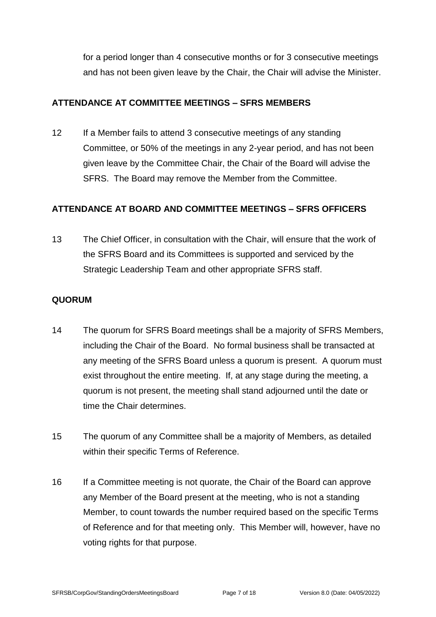for a period longer than 4 consecutive months or for 3 consecutive meetings and has not been given leave by the Chair, the Chair will advise the Minister.

#### <span id="page-6-0"></span>**ATTENDANCE AT COMMITTEE MEETINGS – SFRS MEMBERS**

12 If a Member fails to attend 3 consecutive meetings of any standing Committee, or 50% of the meetings in any 2-year period, and has not been given leave by the Committee Chair, the Chair of the Board will advise the SFRS. The Board may remove the Member from the Committee.

## <span id="page-6-1"></span>**ATTENDANCE AT BOARD AND COMMITTEE MEETINGS – SFRS OFFICERS**

13 The Chief Officer, in consultation with the Chair, will ensure that the work of the SFRS Board and its Committees is supported and serviced by the Strategic Leadership Team and other appropriate SFRS staff.

## <span id="page-6-2"></span>**QUORUM**

- 14 The quorum for SFRS Board meetings shall be a majority of SFRS Members, including the Chair of the Board. No formal business shall be transacted at any meeting of the SFRS Board unless a quorum is present. A quorum must exist throughout the entire meeting. If, at any stage during the meeting, a quorum is not present, the meeting shall stand adjourned until the date or time the Chair determines.
- 15 The quorum of any Committee shall be a majority of Members, as detailed within their specific Terms of Reference.
- 16 If a Committee meeting is not quorate, the Chair of the Board can approve any Member of the Board present at the meeting, who is not a standing Member, to count towards the number required based on the specific Terms of Reference and for that meeting only. This Member will, however, have no voting rights for that purpose.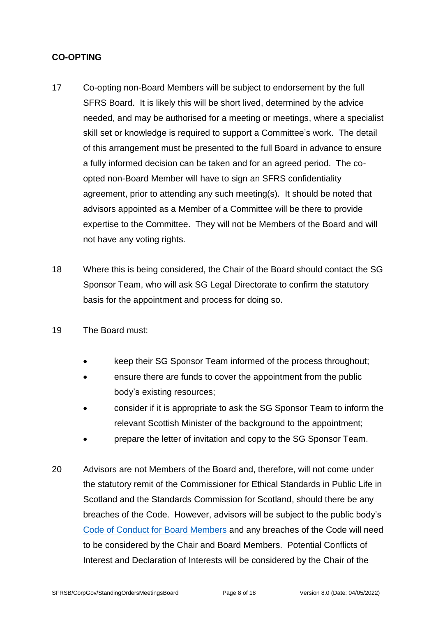## <span id="page-7-0"></span>**CO-OPTING**

- 17 Co-opting non-Board Members will be subject to endorsement by the full SFRS Board. It is likely this will be short lived, determined by the advice needed, and may be authorised for a meeting or meetings, where a specialist skill set or knowledge is required to support a Committee's work. The detail of this arrangement must be presented to the full Board in advance to ensure a fully informed decision can be taken and for an agreed period. The coopted non-Board Member will have to sign an SFRS confidentiality agreement, prior to attending any such meeting(s). It should be noted that advisors appointed as a Member of a Committee will be there to provide expertise to the Committee. They will not be Members of the Board and will not have any voting rights.
- 18 Where this is being considered, the Chair of the Board should contact the SG Sponsor Team, who will ask SG Legal Directorate to confirm the statutory basis for the appointment and process for doing so.
- 19 The Board must:
	- keep their SG Sponsor Team informed of the process throughout;
	- ensure there are funds to cover the appointment from the public body's existing resources;
	- consider if it is appropriate to ask the SG Sponsor Team to inform the relevant Scottish Minister of the background to the appointment;
	- prepare the letter of invitation and copy to the SG Sponsor Team.
- 20 Advisors are not Members of the Board and, therefore, will not come under the statutory remit of the Commissioner for Ethical Standards in Public Life in Scotland and the Standards Commission for Scotland, should there be any breaches of the Code. However, advisors will be subject to the public body's [Code of Conduct for Board Members](https://www.firescotland.gov.uk/access-to-information/publication-scheme/about-sfrs.aspx) and any breaches of the Code will need to be considered by the Chair and Board Members. Potential Conflicts of Interest and Declaration of Interests will be considered by the Chair of the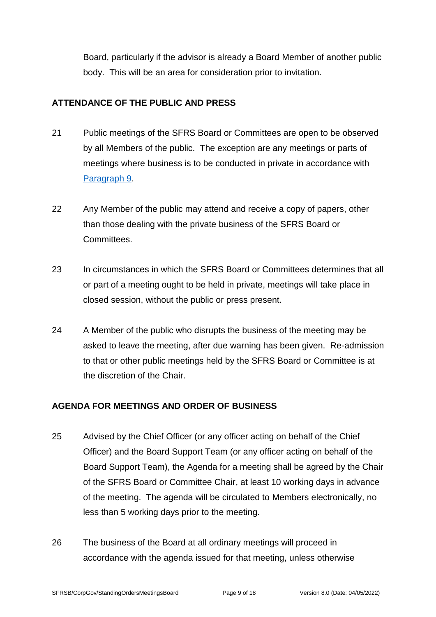Board, particularly if the advisor is already a Board Member of another public body. This will be an area for consideration prior to invitation.

## <span id="page-8-0"></span>**ATTENDANCE OF THE PUBLIC AND PRESS**

- 21 Public meetings of the SFRS Board or Committees are open to be observed by all Members of the public. The exception are any meetings or parts of meetings where business is to be conducted in private in accordance with [Paragraph 9.](#page-4-3)
- 22 Any Member of the public may attend and receive a copy of papers, other than those dealing with the private business of the SFRS Board or Committees.
- 23 In circumstances in which the SFRS Board or Committees determines that all or part of a meeting ought to be held in private, meetings will take place in closed session, without the public or press present.
- 24 A Member of the public who disrupts the business of the meeting may be asked to leave the meeting, after due warning has been given. Re-admission to that or other public meetings held by the SFRS Board or Committee is at the discretion of the Chair.

## <span id="page-8-1"></span>**AGENDA FOR MEETINGS AND ORDER OF BUSINESS**

- 25 Advised by the Chief Officer (or any officer acting on behalf of the Chief Officer) and the Board Support Team (or any officer acting on behalf of the Board Support Team), the Agenda for a meeting shall be agreed by the Chair of the SFRS Board or Committee Chair, at least 10 working days in advance of the meeting. The agenda will be circulated to Members electronically, no less than 5 working days prior to the meeting.
- 26 The business of the Board at all ordinary meetings will proceed in accordance with the agenda issued for that meeting, unless otherwise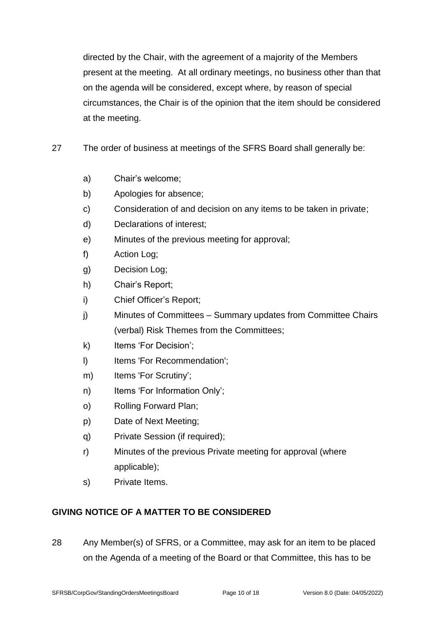directed by the Chair, with the agreement of a majority of the Members present at the meeting. At all ordinary meetings, no business other than that on the agenda will be considered, except where, by reason of special circumstances, the Chair is of the opinion that the item should be considered at the meeting.

- 27 The order of business at meetings of the SFRS Board shall generally be:
	- a) Chair's welcome;
	- b) Apologies for absence;
	- c) Consideration of and decision on any items to be taken in private;
	- d) Declarations of interest;
	- e) Minutes of the previous meeting for approval;
	- f) Action Log;
	- g) Decision Log;
	- h) Chair's Report;
	- i) Chief Officer's Report;
	- j) Minutes of Committees Summary updates from Committee Chairs (verbal) Risk Themes from the Committees;
	- k) Items 'For Decision';
	- I) Items 'For Recommendation';
	- m) Items 'For Scrutiny';
	- n) Items 'For Information Only';
	- o) Rolling Forward Plan;
	- p) Date of Next Meeting;
	- q) Private Session (if required);
	- r) Minutes of the previous Private meeting for approval (where applicable);
	- s) Private Items.

## <span id="page-9-0"></span>**GIVING NOTICE OF A MATTER TO BE CONSIDERED**

28 Any Member(s) of SFRS, or a Committee, may ask for an item to be placed on the Agenda of a meeting of the Board or that Committee, this has to be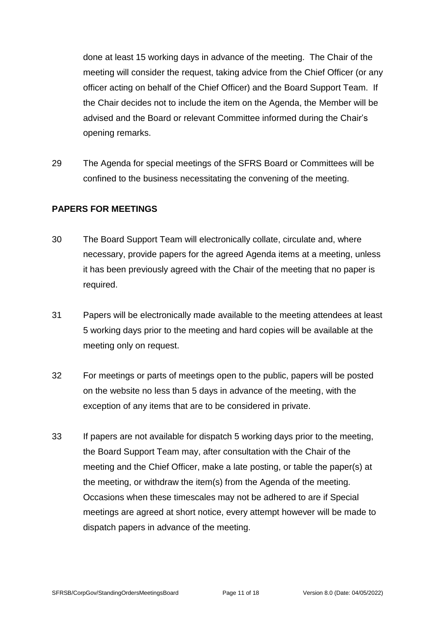done at least 15 working days in advance of the meeting. The Chair of the meeting will consider the request, taking advice from the Chief Officer (or any officer acting on behalf of the Chief Officer) and the Board Support Team. If the Chair decides not to include the item on the Agenda, the Member will be advised and the Board or relevant Committee informed during the Chair's opening remarks.

29 The Agenda for special meetings of the SFRS Board or Committees will be confined to the business necessitating the convening of the meeting.

## <span id="page-10-0"></span>**PAPERS FOR MEETINGS**

- 30 The Board Support Team will electronically collate, circulate and, where necessary, provide papers for the agreed Agenda items at a meeting, unless it has been previously agreed with the Chair of the meeting that no paper is required.
- 31 Papers will be electronically made available to the meeting attendees at least 5 working days prior to the meeting and hard copies will be available at the meeting only on request.
- 32 For meetings or parts of meetings open to the public, papers will be posted on the website no less than 5 days in advance of the meeting, with the exception of any items that are to be considered in private.
- 33 If papers are not available for dispatch 5 working days prior to the meeting, the Board Support Team may, after consultation with the Chair of the meeting and the Chief Officer, make a late posting, or table the paper(s) at the meeting, or withdraw the item(s) from the Agenda of the meeting. Occasions when these timescales may not be adhered to are if Special meetings are agreed at short notice, every attempt however will be made to dispatch papers in advance of the meeting.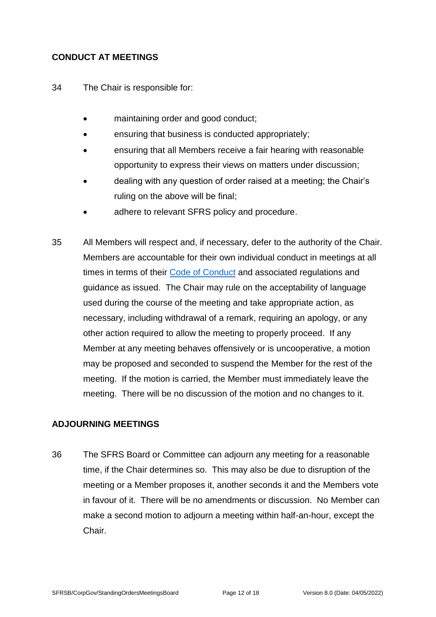#### <span id="page-11-0"></span>**CONDUCT AT MEETINGS**

- 34 The Chair is responsible for:
	- maintaining order and good conduct;
	- ensuring that business is conducted appropriately;
	- ensuring that all Members receive a fair hearing with reasonable opportunity to express their views on matters under discussion;
	- dealing with any question of order raised at a meeting; the Chair's ruling on the above will be final;
	- adhere to relevant SFRS policy and procedure.
- 35 All Members will respect and, if necessary, defer to the authority of the Chair. Members are accountable for their own individual conduct in meetings at all times in terms of their [Code of Conduct](https://www.firescotland.gov.uk/access-to-information/publication-scheme/about-sfrs.aspx) and associated regulations and guidance as issued. The Chair may rule on the acceptability of language used during the course of the meeting and take appropriate action, as necessary, including withdrawal of a remark, requiring an apology, or any other action required to allow the meeting to properly proceed. If any Member at any meeting behaves offensively or is uncooperative, a motion may be proposed and seconded to suspend the Member for the rest of the meeting. If the motion is carried, the Member must immediately leave the meeting. There will be no discussion of the motion and no changes to it.

## <span id="page-11-1"></span>**ADJOURNING MEETINGS**

36 The SFRS Board or Committee can adjourn any meeting for a reasonable time, if the Chair determines so. This may also be due to disruption of the meeting or a Member proposes it, another seconds it and the Members vote in favour of it. There will be no amendments or discussion. No Member can make a second motion to adjourn a meeting within half-an-hour, except the Chair.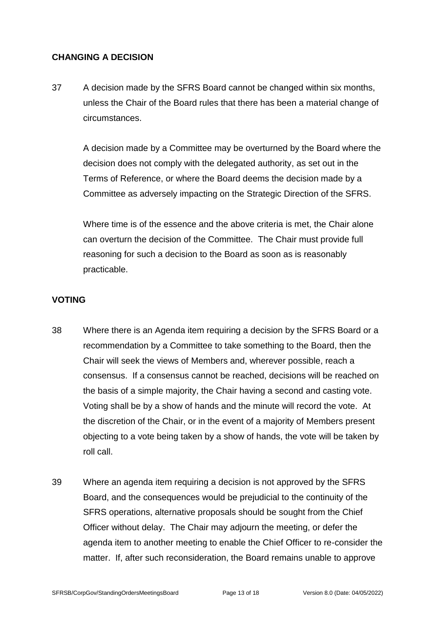#### <span id="page-12-0"></span>**CHANGING A DECISION**

37 A decision made by the SFRS Board cannot be changed within six months, unless the Chair of the Board rules that there has been a material change of circumstances.

A decision made by a Committee may be overturned by the Board where the decision does not comply with the delegated authority, as set out in the Terms of Reference, or where the Board deems the decision made by a Committee as adversely impacting on the Strategic Direction of the SFRS.

Where time is of the essence and the above criteria is met, the Chair alone can overturn the decision of the Committee. The Chair must provide full reasoning for such a decision to the Board as soon as is reasonably practicable.

## <span id="page-12-1"></span>**VOTING**

- 38 Where there is an Agenda item requiring a decision by the SFRS Board or a recommendation by a Committee to take something to the Board, then the Chair will seek the views of Members and, wherever possible, reach a consensus. If a consensus cannot be reached, decisions will be reached on the basis of a simple majority, the Chair having a second and casting vote. Voting shall be by a show of hands and the minute will record the vote. At the discretion of the Chair, or in the event of a majority of Members present objecting to a vote being taken by a show of hands, the vote will be taken by roll call.
- 39 Where an agenda item requiring a decision is not approved by the SFRS Board, and the consequences would be prejudicial to the continuity of the SFRS operations, alternative proposals should be sought from the Chief Officer without delay. The Chair may adjourn the meeting, or defer the agenda item to another meeting to enable the Chief Officer to re-consider the matter. If, after such reconsideration, the Board remains unable to approve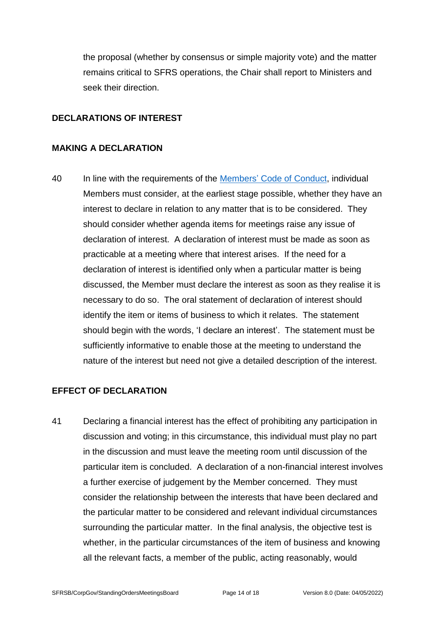the proposal (whether by consensus or simple majority vote) and the matter remains critical to SFRS operations, the Chair shall report to Ministers and seek their direction.

## **DECLARATIONS OF INTEREST**

#### <span id="page-13-0"></span>**MAKING A DECLARATION**

40 In line with the requirements of the Members' [Code of Conduct,](https://www.firescotland.gov.uk/access-to-information/publication-scheme/about-sfrs.aspx) individual Members must consider, at the earliest stage possible, whether they have an interest to declare in relation to any matter that is to be considered. They should consider whether agenda items for meetings raise any issue of declaration of interest. A declaration of interest must be made as soon as practicable at a meeting where that interest arises. If the need for a declaration of interest is identified only when a particular matter is being discussed, the Member must declare the interest as soon as they realise it is necessary to do so. The oral statement of declaration of interest should identify the item or items of business to which it relates. The statement should begin with the words, 'I declare an interest'. The statement must be sufficiently informative to enable those at the meeting to understand the nature of the interest but need not give a detailed description of the interest.

## **EFFECT OF DECLARATION**

41 Declaring a financial interest has the effect of prohibiting any participation in discussion and voting; in this circumstance, this individual must play no part in the discussion and must leave the meeting room until discussion of the particular item is concluded. A declaration of a non-financial interest involves a further exercise of judgement by the Member concerned. They must consider the relationship between the interests that have been declared and the particular matter to be considered and relevant individual circumstances surrounding the particular matter. In the final analysis, the objective test is whether, in the particular circumstances of the item of business and knowing all the relevant facts, a member of the public, acting reasonably, would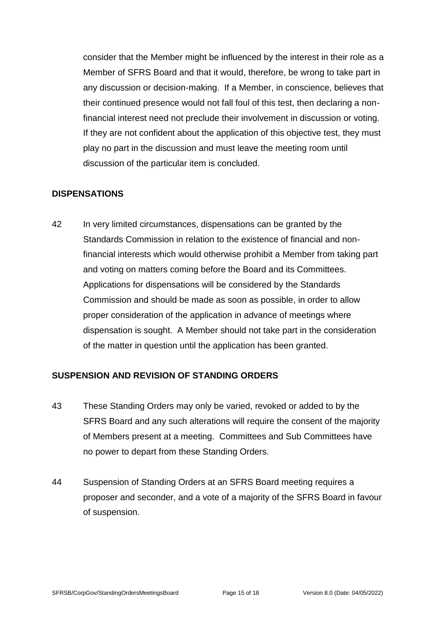consider that the Member might be influenced by the interest in their role as a Member of SFRS Board and that it would, therefore, be wrong to take part in any discussion or decision-making. If a Member, in conscience, believes that their continued presence would not fall foul of this test, then declaring a nonfinancial interest need not preclude their involvement in discussion or voting. If they are not confident about the application of this objective test, they must play no part in the discussion and must leave the meeting room until discussion of the particular item is concluded.

## <span id="page-14-0"></span>**DISPENSATIONS**

42 In very limited circumstances, dispensations can be granted by the Standards Commission in relation to the existence of financial and nonfinancial interests which would otherwise prohibit a Member from taking part and voting on matters coming before the Board and its Committees. Applications for dispensations will be considered by the Standards Commission and should be made as soon as possible, in order to allow proper consideration of the application in advance of meetings where dispensation is sought. A Member should not take part in the consideration of the matter in question until the application has been granted.

## <span id="page-14-1"></span>**SUSPENSION AND REVISION OF STANDING ORDERS**

- 43 These Standing Orders may only be varied, revoked or added to by the SFRS Board and any such alterations will require the consent of the majority of Members present at a meeting. Committees and Sub Committees have no power to depart from these Standing Orders.
- 44 Suspension of Standing Orders at an SFRS Board meeting requires a proposer and seconder, and a vote of a majority of the SFRS Board in favour of suspension.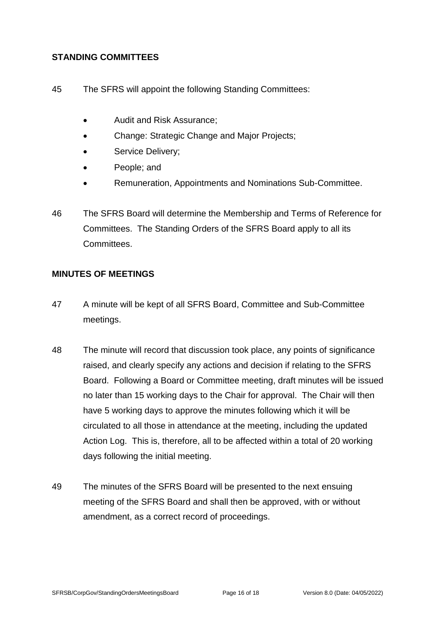## <span id="page-15-0"></span>**STANDING COMMITTEES**

- <span id="page-15-2"></span>45 The SFRS will appoint the following Standing Committees:
	- Audit and Risk Assurance;
	- Change: Strategic Change and Major Projects;
	- Service Delivery:
	- People; and
	- Remuneration, Appointments and Nominations Sub-Committee.
- 46 The SFRS Board will determine the Membership and Terms of Reference for Committees. The Standing Orders of the SFRS Board apply to all its **Committees**

#### <span id="page-15-1"></span>**MINUTES OF MEETINGS**

- 47 A minute will be kept of all SFRS Board, Committee and Sub-Committee meetings.
- 48 The minute will record that discussion took place, any points of significance raised, and clearly specify any actions and decision if relating to the SFRS Board. Following a Board or Committee meeting, draft minutes will be issued no later than 15 working days to the Chair for approval. The Chair will then have 5 working days to approve the minutes following which it will be circulated to all those in attendance at the meeting, including the updated Action Log. This is, therefore, all to be affected within a total of 20 working days following the initial meeting.
- 49 The minutes of the SFRS Board will be presented to the next ensuing meeting of the SFRS Board and shall then be approved, with or without amendment, as a correct record of proceedings.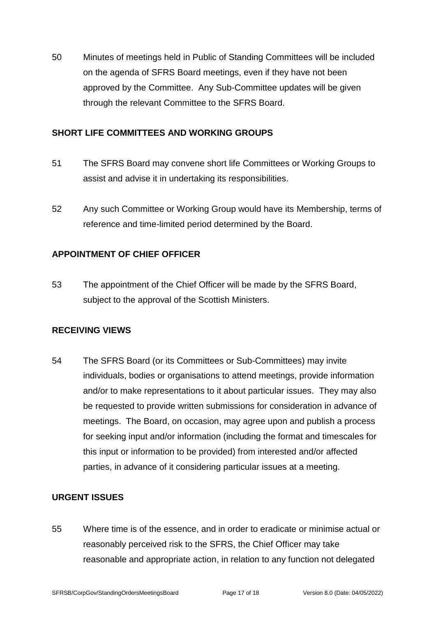50 Minutes of meetings held in Public of Standing Committees will be included on the agenda of SFRS Board meetings, even if they have not been approved by the Committee. Any Sub-Committee updates will be given through the relevant Committee to the SFRS Board.

## <span id="page-16-0"></span>**SHORT LIFE COMMITTEES AND WORKING GROUPS**

- 51 The SFRS Board may convene short life Committees or Working Groups to assist and advise it in undertaking its responsibilities.
- 52 Any such Committee or Working Group would have its Membership, terms of reference and time-limited period determined by the Board.

## <span id="page-16-1"></span>**APPOINTMENT OF CHIEF OFFICER**

53 The appointment of the Chief Officer will be made by the SFRS Board, subject to the approval of the Scottish Ministers.

## <span id="page-16-2"></span>**RECEIVING VIEWS**

54 The SFRS Board (or its Committees or Sub-Committees) may invite individuals, bodies or organisations to attend meetings, provide information and/or to make representations to it about particular issues. They may also be requested to provide written submissions for consideration in advance of meetings. The Board, on occasion, may agree upon and publish a process for seeking input and/or information (including the format and timescales for this input or information to be provided) from interested and/or affected parties, in advance of it considering particular issues at a meeting.

## <span id="page-16-3"></span>**URGENT ISSUES**

55 Where time is of the essence, and in order to eradicate or minimise actual or reasonably perceived risk to the SFRS, the Chief Officer may take reasonable and appropriate action, in relation to any function not delegated